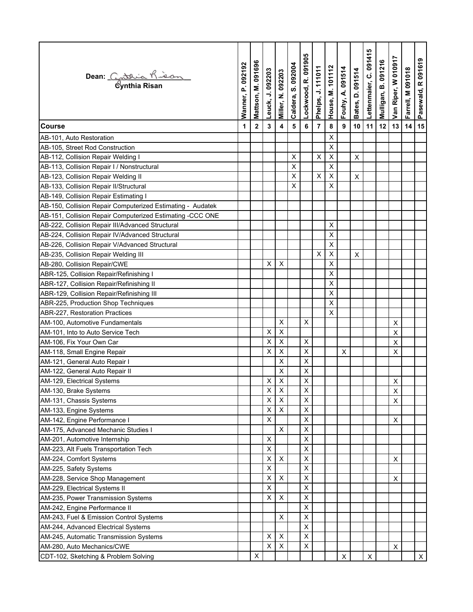| Dean: Cathia Kieon                                         | Wanner, P. 092192 | Mattson, M. 091696 | Leuck, J. 092203   | <b>Miller, N. 092203</b>  | Caldera, S. 092004 | Lockwood, R. 091905 | Phelps, J. 111011 | House, M. 101112   | Fouhy, A. 091514 | Bates, D. 091514 | Lettenmaier, C. 091415 | Mulligan, B. 091216 | Van Riper, W 010917 | Farrell, M 091018 | Pasewald, R 091619 |
|------------------------------------------------------------|-------------------|--------------------|--------------------|---------------------------|--------------------|---------------------|-------------------|--------------------|------------------|------------------|------------------------|---------------------|---------------------|-------------------|--------------------|
| <b>Course</b>                                              | 1                 | $\mathbf 2$        | 3                  | 4                         | $5\phantom{1}$     | 6                   | 7                 | 8                  | 9                | 10               | 11                     | 12                  | 13                  | 14                | 15                 |
| AB-101, Auto Restoration                                   |                   |                    |                    |                           |                    |                     |                   | Χ                  |                  |                  |                        |                     |                     |                   |                    |
| AB-105, Street Rod Construction                            |                   |                    |                    |                           |                    |                     |                   | X                  |                  |                  |                        |                     |                     |                   |                    |
| AB-112, Collision Repair Welding I                         |                   |                    |                    |                           | X                  |                     | $\pmb{\times}$    | $\pmb{\mathsf{X}}$ |                  | X                |                        |                     |                     |                   |                    |
| AB-113, Collision Repair I / Nonstructural                 |                   |                    |                    |                           | X                  |                     |                   | X                  |                  |                  |                        |                     |                     |                   |                    |
| AB-123, Collision Repair Welding II                        |                   |                    |                    |                           | $\mathsf{X}$       |                     | $\pmb{\times}$    | $\pmb{\mathsf{X}}$ |                  | $\pmb{\times}$   |                        |                     |                     |                   |                    |
| AB-133, Collision Repair II/Structural                     |                   |                    |                    |                           | X                  |                     |                   | X                  |                  |                  |                        |                     |                     |                   |                    |
| AB-149, Collision Repair Estimating I                      |                   |                    |                    |                           |                    |                     |                   |                    |                  |                  |                        |                     |                     |                   |                    |
| AB-150, Collision Repair Computerized Estimating - Audatek |                   |                    |                    |                           |                    |                     |                   |                    |                  |                  |                        |                     |                     |                   |                    |
| AB-151, Collision Repair Computerized Estimating -CCC ONE  |                   |                    |                    |                           |                    |                     |                   |                    |                  |                  |                        |                     |                     |                   |                    |
| AB-222, Collision Repair III/Advanced Structural           |                   |                    |                    |                           |                    |                     |                   | X                  |                  |                  |                        |                     |                     |                   |                    |
| AB-224, Collision Repair IV/Advanced Structural            |                   |                    |                    |                           |                    |                     |                   | X                  |                  |                  |                        |                     |                     |                   |                    |
| AB-226, Collision Repair V/Advanced Structural             |                   |                    |                    |                           |                    |                     |                   | X                  |                  |                  |                        |                     |                     |                   |                    |
| AB-235, Collision Repair Welding III                       |                   |                    |                    |                           |                    |                     | X                 | X                  |                  | X                |                        |                     |                     |                   |                    |
| AB-280, Collision Repair/CWE                               |                   |                    | X                  | X                         |                    |                     |                   | X                  |                  |                  |                        |                     |                     |                   |                    |
| ABR-125, Collision Repair/Refinishing I                    |                   |                    |                    |                           |                    |                     |                   | X                  |                  |                  |                        |                     |                     |                   |                    |
| ABR-127, Collision Repair/Refinishing II                   |                   |                    |                    |                           |                    |                     |                   | Χ                  |                  |                  |                        |                     |                     |                   |                    |
| ABR-129, Collision Repair/Refinishing III                  |                   |                    |                    |                           |                    |                     |                   | X                  |                  |                  |                        |                     |                     |                   |                    |
| ABR-225, Production Shop Techniques                        |                   |                    |                    |                           |                    |                     |                   | X                  |                  |                  |                        |                     |                     |                   |                    |
| ABR-227, Restoration Practices                             |                   |                    |                    |                           |                    |                     |                   | X                  |                  |                  |                        |                     |                     |                   |                    |
| AM-100, Automotive Fundamentals                            |                   |                    |                    | X                         |                    | X                   |                   |                    |                  |                  |                        |                     | X                   |                   |                    |
| AM-101, Into to Auto Service Tech                          |                   |                    | X                  | X                         |                    |                     |                   |                    |                  |                  |                        |                     | X                   |                   |                    |
| AM-106, Fix Your Own Car                                   |                   |                    | X                  | $\pmb{\times}$            |                    | $\pmb{\times}$      |                   |                    |                  |                  |                        |                     | $\pmb{\mathsf{X}}$  |                   |                    |
| AM-118, Small Engine Repair                                |                   |                    | X                  | $\boldsymbol{\mathsf{X}}$ |                    | $\mathsf X$         |                   |                    | X                |                  |                        |                     | X                   |                   |                    |
| AM-121, General Auto Repair I                              |                   |                    |                    | $\pmb{\times}$            |                    | $\mathsf X$         |                   |                    |                  |                  |                        |                     |                     |                   |                    |
| AM-122, General Auto Repair II                             |                   |                    |                    | $\pmb{\times}$            |                    | X                   |                   |                    |                  |                  |                        |                     |                     |                   |                    |
| AM-129, Electrical Systems                                 |                   |                    | X                  | X                         |                    | $\mathsf X$         |                   |                    |                  |                  |                        |                     | X                   |                   |                    |
| AM-130, Brake Systems                                      |                   |                    | X                  | X                         |                    | х                   |                   |                    |                  |                  |                        |                     | X                   |                   |                    |
| AM-131, Chassis Systems                                    |                   |                    | X                  | X                         |                    | X                   |                   |                    |                  |                  |                        |                     | X                   |                   |                    |
| AM-133, Engine Systems                                     |                   |                    | X                  | X                         |                    | X                   |                   |                    |                  |                  |                        |                     |                     |                   |                    |
| AM-142, Engine Performance I                               |                   |                    | X                  |                           |                    | X                   |                   |                    |                  |                  |                        |                     | X                   |                   |                    |
| AM-175, Advanced Mechanic Studies I                        |                   |                    |                    | $\sf X$                   |                    | X                   |                   |                    |                  |                  |                        |                     |                     |                   |                    |
| AM-201, Automotive Internship                              |                   |                    | X                  |                           |                    | X                   |                   |                    |                  |                  |                        |                     |                     |                   |                    |
| AM-223, Alt Fuels Transportation Tech                      |                   |                    | $\pmb{\mathsf{X}}$ |                           |                    | X                   |                   |                    |                  |                  |                        |                     |                     |                   |                    |
| AM-224, Comfort Systems                                    |                   |                    | X                  | $\pmb{\times}$            |                    | X                   |                   |                    |                  |                  |                        |                     | X                   |                   |                    |
| AM-225, Safety Systems                                     |                   |                    | X                  |                           |                    | $\mathsf X$         |                   |                    |                  |                  |                        |                     |                     |                   |                    |
| AM-228, Service Shop Management                            |                   |                    | X                  | X                         |                    | $\mathsf X$         |                   |                    |                  |                  |                        |                     | X                   |                   |                    |
| AM-229, Electrical Systems II                              |                   |                    | $\mathsf X$        |                           |                    | $\mathsf X$         |                   |                    |                  |                  |                        |                     |                     |                   |                    |
| AM-235, Power Transmission Systems                         |                   |                    | X                  | X                         |                    | X                   |                   |                    |                  |                  |                        |                     |                     |                   |                    |
| AM-242, Engine Performance II                              |                   |                    |                    |                           |                    | X                   |                   |                    |                  |                  |                        |                     |                     |                   |                    |
| AM-243, Fuel & Emission Control Systems                    |                   |                    |                    | X                         |                    | X                   |                   |                    |                  |                  |                        |                     |                     |                   |                    |
| AM-244, Advanced Electrical Systems                        |                   |                    |                    |                           |                    | X                   |                   |                    |                  |                  |                        |                     |                     |                   |                    |
| AM-245, Automatic Transmission Systems                     |                   |                    | X                  | $\pmb{\times}$            |                    | X                   |                   |                    |                  |                  |                        |                     |                     |                   |                    |
| AM-280, Auto Mechanics/CWE                                 |                   |                    | X                  | X                         |                    | X                   |                   |                    |                  |                  |                        |                     | X                   |                   |                    |
| CDT-102, Sketching & Problem Solving                       |                   | X                  |                    |                           |                    |                     |                   |                    | X                |                  | X                      |                     |                     |                   | $\mathsf{X}$       |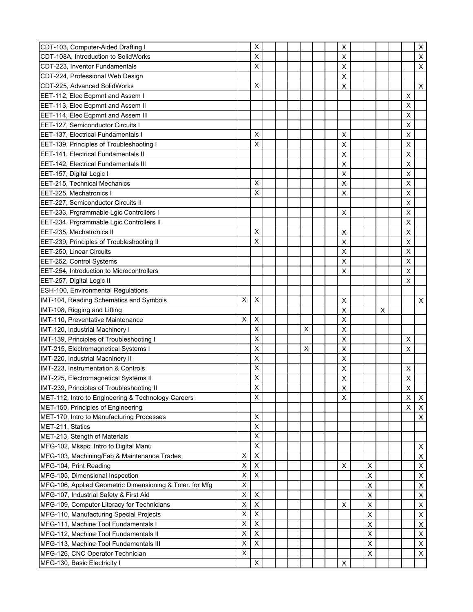| CDT-103, Computer-Aided Drafting I                                              |        | X                                |  |   |  | X                         |        |   |                         | X                                           |
|---------------------------------------------------------------------------------|--------|----------------------------------|--|---|--|---------------------------|--------|---|-------------------------|---------------------------------------------|
| CDT-108A, Introduction to SolidWorks                                            |        | X                                |  |   |  | X                         |        |   |                         | $\sf X$                                     |
| CDT-223, Inventor Fundamentals                                                  |        | X                                |  |   |  | X                         |        |   |                         | X                                           |
| CDT-224, Professional Web Design                                                |        |                                  |  |   |  | X                         |        |   |                         |                                             |
| CDT-225, Advanced SolidWorks                                                    |        | X                                |  |   |  | X                         |        |   |                         | $\pmb{\times}$                              |
| EET-112, Elec Eqpmnt and Assem I                                                |        |                                  |  |   |  |                           |        |   | X                       |                                             |
| EET-113, Elec Eqpmnt and Assem II                                               |        |                                  |  |   |  |                           |        |   | X                       |                                             |
| EET-114, Elec Eqpmnt and Assem III                                              |        |                                  |  |   |  |                           |        |   | X                       |                                             |
| EET-127, Semiconductor Circuits I                                               |        |                                  |  |   |  |                           |        |   | X                       |                                             |
| <b>EET-137, Electrical Fundamentals I</b>                                       |        | X                                |  |   |  | X                         |        |   | X                       |                                             |
| EET-139, Principles of Troubleshooting I                                        |        | X                                |  |   |  | X                         |        |   | X                       |                                             |
| EET-141, Electrical Fundamentals II                                             |        |                                  |  |   |  | X                         |        |   | X                       |                                             |
| EET-142, Electrical Fundamentals III                                            |        |                                  |  |   |  | X                         |        |   | X                       |                                             |
| EET-157, Digital Logic I                                                        |        |                                  |  |   |  | X                         |        |   | X                       |                                             |
| <b>EET-215, Technical Mechanics</b>                                             |        | X                                |  |   |  | X                         |        |   | X                       |                                             |
| EET-225, Mechatronics I                                                         |        | X                                |  |   |  | X                         |        |   | X                       |                                             |
| EET-227, Semiconductor Circuits II                                              |        |                                  |  |   |  |                           |        |   | X                       |                                             |
| EET-233, Prgrammable Lgic Controllers I                                         |        |                                  |  |   |  | X                         |        |   | X                       |                                             |
| EET-234, Prgrammable Lgic Controllers II                                        |        |                                  |  |   |  |                           |        |   | X                       |                                             |
| EET-235, Mechatronics II                                                        |        | X                                |  |   |  | X                         |        |   | X                       |                                             |
| EET-239, Principles of Troubleshooting II                                       |        | X                                |  |   |  | X                         |        |   | X                       |                                             |
| EET-250, Linear Circuits                                                        |        |                                  |  |   |  | X                         |        |   | X                       |                                             |
| EET-252, Control Systems                                                        |        |                                  |  |   |  | X                         |        |   | X                       |                                             |
| EET-254, Introduction to Microcontrollers                                       |        |                                  |  |   |  | X                         |        |   | X                       |                                             |
| EET-257, Digital Logic II                                                       |        |                                  |  |   |  |                           |        |   | X                       |                                             |
| ESH-100, Environmental Regulations                                              |        |                                  |  |   |  |                           |        |   |                         |                                             |
| IMT-104, Reading Schematics and Symbols                                         | х      | X                                |  |   |  | X                         |        |   |                         | X                                           |
| IMT-108, Rigging and Lifting                                                    |        |                                  |  |   |  | X                         |        | X |                         |                                             |
| IMT-110, Preventative Maintenance                                               | X      | X                                |  |   |  | X                         |        |   |                         |                                             |
| IMT-120, Industrial Machinery I                                                 |        | X                                |  | X |  | $\pmb{\mathsf{X}}$        |        |   |                         |                                             |
| IMT-139, Principles of Troubleshooting I                                        |        | X                                |  |   |  | X                         |        |   | X                       |                                             |
| IMT-215, Electromagnetical Systems I                                            |        | X                                |  | X |  | X                         |        |   | X                       |                                             |
| IMT-220, Industrial Macninery II                                                |        | X                                |  |   |  | X                         |        |   |                         |                                             |
| IMT-223, Instrumentation & Controls                                             |        | X                                |  |   |  | X                         |        |   | X                       |                                             |
| IMT-225, Electromagnetical Systems II                                           |        | X                                |  |   |  | X                         |        |   | X                       |                                             |
| IMT-239, Principles of Troubleshooting II                                       |        | X                                |  |   |  | $\mathsf{x}$              |        |   | $\overline{\mathsf{x}}$ |                                             |
| MET-112, Intro to Engineering & Technology Careers                              |        | X                                |  |   |  | X                         |        |   | $\mathsf X$             | X                                           |
| MET-150, Principles of Engineering                                              |        |                                  |  |   |  |                           |        |   | X                       | $\boldsymbol{\mathsf{X}}$                   |
| MET-170, Intro to Manufacturing Processes                                       |        | X                                |  |   |  |                           |        |   |                         | $\boldsymbol{\mathsf{X}}$                   |
| MET-211, Statics                                                                |        | X                                |  |   |  |                           |        |   |                         |                                             |
| MET-213, Stength of Materials                                                   |        | X                                |  |   |  |                           |        |   |                         |                                             |
| MFG-102, Mkspc: Intro to Digital Manu                                           |        | X                                |  |   |  |                           |        |   |                         | X                                           |
| MFG-103, Machining/Fab & Maintenance Trades                                     | X      | X                                |  |   |  |                           |        |   |                         | $\pmb{\times}$                              |
| MFG-104, Print Reading                                                          | X      | X                                |  |   |  | X                         | X      |   |                         | $\pmb{\times}$                              |
| MFG-105, Dimensional Inspection                                                 | Х      | X                                |  |   |  |                           | X      |   |                         | $\mathsf X$                                 |
| MFG-106, Applied Geometric Dimensioning & Toler. for Mfg                        | X      |                                  |  |   |  |                           | X      |   |                         | $\pmb{\times}$                              |
| MFG-107, Industrial Safety & First Aid                                          | Χ      | X                                |  |   |  |                           | X      |   |                         | $\mathsf X$                                 |
| MFG-109, Computer Literacy for Technicians                                      | Χ<br>X | $\pmb{\times}$<br>$\pmb{\times}$ |  |   |  | X                         | Χ      |   |                         | $\mathsf X$                                 |
| MFG-110, Manufacturing Special Projects                                         |        |                                  |  |   |  |                           | X      |   |                         | $\mathsf X$                                 |
| MFG-111, Machine Tool Fundamentals I                                            | X<br>X | X                                |  |   |  |                           | X<br>X |   |                         | $\boldsymbol{\mathsf{X}}$<br>$\pmb{\times}$ |
| MFG-112, Machine Tool Fundamentals II<br>MFG-113, Machine Tool Fundamentals III |        |                                  |  |   |  |                           |        |   |                         |                                             |
|                                                                                 |        | X                                |  |   |  |                           |        |   |                         |                                             |
|                                                                                 | X      | X                                |  |   |  |                           | X      |   |                         | $\boldsymbol{\mathsf{X}}$                   |
| MFG-126, CNC Operator Technician<br>MFG-130, Basic Electricity I                | Χ      | X                                |  |   |  | $\boldsymbol{\mathsf{X}}$ | X      |   |                         | $\pmb{\times}$                              |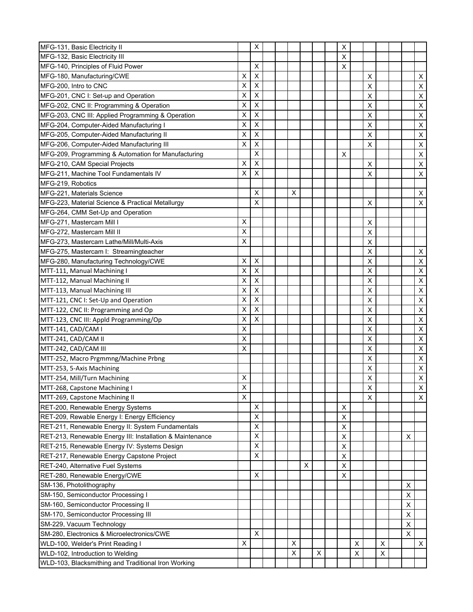| MFG-131, Basic Electricity II                                  |                | X           |  |   |   |   | X |   |                |   |        |                           |
|----------------------------------------------------------------|----------------|-------------|--|---|---|---|---|---|----------------|---|--------|---------------------------|
| MFG-132, Basic Electricity III                                 |                |             |  |   |   |   | X |   |                |   |        |                           |
| MFG-140, Principles of Fluid Power                             |                | X           |  |   |   |   | X |   |                |   |        |                           |
| MFG-180, Manufacturing/CWE                                     | X              | X           |  |   |   |   |   |   | X              |   |        | X                         |
| MFG-200, Intro to CNC                                          | X              | X           |  |   |   |   |   |   | X              |   |        | $\boldsymbol{\mathsf{X}}$ |
| MFG-201, CNC I: Set-up and Operation                           | Х              | X           |  |   |   |   |   |   | X              |   |        | $\sf X$                   |
| MFG-202, CNC II: Programming & Operation                       | X              | X           |  |   |   |   |   |   | X              |   |        | $\sf X$                   |
| MFG-203, CNC III: Applied Programming & Operation              | X              | X           |  |   |   |   |   |   | X              |   |        | X                         |
| MFG-204, Computer-Aided Manufacturing I                        | X              | X           |  |   |   |   |   |   | X              |   |        | $\sf X$                   |
| MFG-205, Computer-Aided Manufacturing II                       | X              | X           |  |   |   |   |   |   | X              |   |        | $\sf X$                   |
| MFG-206, Computer-Aided Manufacturing III                      | Χ              | X           |  |   |   |   |   |   | X              |   |        | $\sf X$                   |
| MFG-209, Programming & Automation for Manufacturing            |                | X           |  |   |   |   | X |   |                |   |        | $\sf X$                   |
| MFG-210, CAM Special Projects                                  | Х              | X           |  |   |   |   |   |   | X              |   |        | X                         |
| MFG-211, Machine Tool Fundamentals IV                          | X              | X           |  |   |   |   |   |   | X              |   |        | X                         |
| MFG-219, Robotics                                              |                |             |  |   |   |   |   |   |                |   |        |                           |
| MFG-221, Materials Science                                     |                | X           |  | X |   |   |   |   |                |   |        | X                         |
| MFG-223, Material Science & Practical Metallurgy               |                | X           |  |   |   |   |   |   | X              |   |        | X                         |
| MFG-264, CMM Set-Up and Operation                              |                |             |  |   |   |   |   |   |                |   |        |                           |
| MFG-271, Mastercam Mill I                                      | X              |             |  |   |   |   |   |   | X              |   |        |                           |
| MFG-272, Mastercam Mill II                                     | X              |             |  |   |   |   |   |   | $\mathsf X$    |   |        |                           |
| MFG-273, Mastercam Lathe/Mill/Multi-Axis                       | X              |             |  |   |   |   |   |   | X              |   |        |                           |
| MFG-275, Mastercam I: Streamingteacher                         |                |             |  |   |   |   |   |   | X              |   |        | X                         |
| MFG-280, Manufacturing Technology/CWE                          | Х              | X           |  |   |   |   |   |   | X              |   |        | X                         |
| MTT-111, Manual Machining I                                    | X              | X           |  |   |   |   |   |   | X              |   |        | $\sf X$                   |
| MTT-112, Manual Machining II                                   | X              | X           |  |   |   |   |   |   | X              |   |        | $\sf X$                   |
| MTT-113, Manual Machining III                                  | Х              | X           |  |   |   |   |   |   | X              |   |        | $\sf X$                   |
| MTT-121, CNC I: Set-Up and Operation                           | Χ              | $\mathsf X$ |  |   |   |   |   |   | X              |   |        | X                         |
| MTT-122, CNC II: Programming and Op                            | X              | X           |  |   |   |   |   |   | X              |   |        | $\sf X$                   |
| MTT-123, CNC III: Appld Programming/Op                         | X              | X           |  |   |   |   |   |   | X              |   |        | $\sf X$                   |
| MTT-141, CAD/CAM I                                             | Χ              |             |  |   |   |   |   |   | X              |   |        | $\mathsf X$               |
| MTT-241, CAD/CAM II                                            | X              |             |  |   |   |   |   |   | X              |   |        | $\mathsf{X}$              |
| MTT-242, CAD/CAM III                                           | X              |             |  |   |   |   |   |   | X              |   |        | $\mathsf{X}$              |
| MTT-252, Macro Prgmmng/Machine Prbng                           |                |             |  |   |   |   |   |   | X              |   |        | $\sf X$                   |
| MTT-253, 5-Axis Machining                                      |                |             |  |   |   |   |   |   | X              |   |        | $\sf X$                   |
| MTT-254, Mill/Turn Machining                                   | X              |             |  |   |   |   |   |   | X              |   |        | $\mathsf X$               |
| MTT-268, Capstone Machining I                                  | $\pmb{\times}$ |             |  |   |   |   |   |   | $\pmb{\times}$ |   |        | $\overline{X}$            |
| MTT-269, Capstone Machining II                                 | X              |             |  |   |   |   |   |   | X              |   |        | $\mathsf{X}$              |
| RET-200, Renewable Energy Systems                              |                | $\mathsf X$ |  |   |   |   | X |   |                |   |        |                           |
| RET-209, Rewable Energy I: Energy Efficiency                   |                | X           |  |   |   |   | X |   |                |   |        |                           |
| RET-211, Renewable Energy II: System Fundamentals              |                | X           |  |   |   |   | Χ |   |                |   |        |                           |
| RET-213, Renewable Energy III: Installation & Maintenance      |                | X           |  |   |   |   | X |   |                |   | X      |                           |
| RET-215, Renewable Energy IV: Systems Design                   |                | X           |  |   |   |   | X |   |                |   |        |                           |
| RET-217, Renewable Energy Capstone Project                     |                | X           |  |   |   |   | Χ |   |                |   |        |                           |
| RET-240, Alternative Fuel Systems                              |                |             |  |   | X |   | X |   |                |   |        |                           |
| RET-280, Renewable Energy/CWE                                  |                | X           |  |   |   |   | X |   |                |   |        |                           |
|                                                                |                |             |  |   |   |   |   |   |                |   |        |                           |
| SM-136, Photolithography<br>SM-150, Semiconductor Processing I |                |             |  |   |   |   |   |   |                |   | X<br>X |                           |
|                                                                |                |             |  |   |   |   |   |   |                |   |        |                           |
| SM-160, Semiconductor Processing II                            |                |             |  |   |   |   |   |   |                |   | X      |                           |
| SM-170, Semiconductor Processing III                           |                |             |  |   |   |   |   |   |                |   | X      |                           |
| SM-229, Vacuum Technology                                      |                |             |  |   |   |   |   |   |                |   | X      |                           |
| SM-280, Electronics & Microelectronics/CWE                     |                | X           |  |   |   |   |   |   |                |   | X      |                           |
| WLD-100, Welder's Print Reading I                              | X              |             |  | X |   |   |   | X |                | X |        | $\mathsf X$               |
| WLD-102, Introduction to Welding                               |                |             |  | X |   | X |   | X |                | X |        |                           |
| WLD-103, Blacksmithing and Traditional Iron Working            |                |             |  |   |   |   |   |   |                |   |        |                           |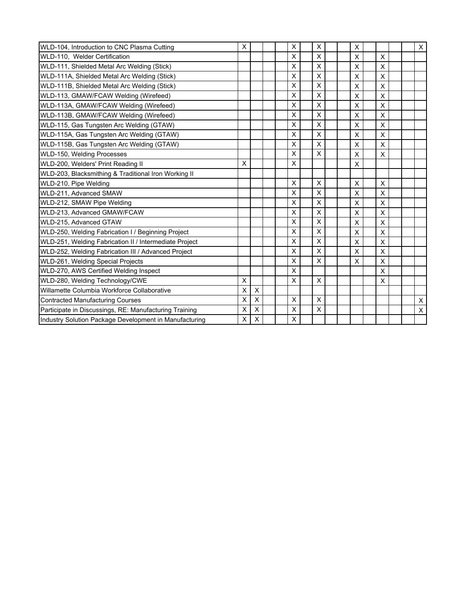| WLD-104, Introduction to CNC Plasma Cutting            | X |   |  | X | X           |  | Χ |              |  | X              |
|--------------------------------------------------------|---|---|--|---|-------------|--|---|--------------|--|----------------|
| WLD-110, Welder Certification                          |   |   |  | X | X           |  | X | X            |  |                |
| WLD-111, Shielded Metal Arc Welding (Stick)            |   |   |  | X | X           |  | X | $\mathsf{x}$ |  |                |
| WLD-111A, Shielded Metal Arc Welding (Stick)           |   |   |  | X | X           |  | X | X            |  |                |
| WLD-111B, Shielded Metal Arc Welding (Stick)           |   |   |  | X | X           |  | X | $\times$     |  |                |
| WLD-113, GMAW/FCAW Welding (Wirefeed)                  |   |   |  | X | X           |  | X | X            |  |                |
| WLD-113A, GMAW/FCAW Welding (Wirefeed)                 |   |   |  | X | X           |  | X | $\times$     |  |                |
| WLD-113B, GMAW/FCAW Welding (Wirefeed)                 |   |   |  | X | X           |  | X | X            |  |                |
| WLD-115, Gas Tungsten Arc Welding (GTAW)               |   |   |  | X | X           |  | X | X            |  |                |
| WLD-115A, Gas Tungsten Arc Welding (GTAW)              |   |   |  | X | X           |  | X | $\times$     |  |                |
| WLD-115B, Gas Tungsten Arc Welding (GTAW)              |   |   |  | X | X           |  | X | X            |  |                |
| WLD-150, Welding Processes                             |   |   |  | X | X           |  | X | X            |  |                |
| WLD-200, Welders' Print Reading II                     | X |   |  | X |             |  | X |              |  |                |
| WLD-203, Blacksmithing & Traditional Iron Working II   |   |   |  |   |             |  |   |              |  |                |
| WLD-210, Pipe Welding                                  |   |   |  | X | X           |  | X | X            |  |                |
| WLD-211, Advanced SMAW                                 |   |   |  | X | X           |  | X | X            |  |                |
| WLD-212, SMAW Pipe Welding                             |   |   |  | X | X           |  | X | $\times$     |  |                |
| WLD-213, Advanced GMAW/FCAW                            |   |   |  | X | X           |  | X | X            |  |                |
| WLD-215, Advanced GTAW                                 |   |   |  | X | X           |  | X | X            |  |                |
| WLD-250, Welding Fabrication I / Beginning Project     |   |   |  | X | X           |  | X | X            |  |                |
| WLD-251, Welding Fabrication II / Intermediate Project |   |   |  | X | X           |  | X | X            |  |                |
| WLD-252, Welding Fabrication III / Advanced Project    |   |   |  | X | X           |  | X | $\times$     |  |                |
| WLD-261, Welding Special Projects                      |   |   |  | X | X           |  | X | X            |  |                |
| WLD-270, AWS Certified Welding Inspect                 |   |   |  | X |             |  |   | X            |  |                |
| WLD-280, Welding Technology/CWE                        | X |   |  | X | X           |  |   | X            |  |                |
| Willamette Columbia Workforce Collaborative            | X | X |  |   |             |  |   |              |  |                |
| <b>Contracted Manufacturing Courses</b>                | X | X |  | X | X           |  |   |              |  | $\mathsf X$    |
| Participate in Discussings, RE: Manufacturing Training | X | X |  | X | $\mathsf X$ |  |   |              |  | $\pmb{\times}$ |
| Industry Solution Package Development in Manufacturing | X | X |  | X |             |  |   |              |  |                |